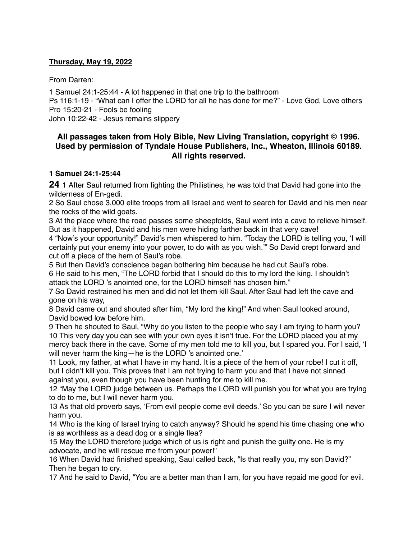### **Thursday, May 19, 2022**

From Darren:

1 Samuel 24:1-25:44 - A lot happened in that one trip to the bathroom Ps 116:1-19 - "What can I offer the LORD for all he has done for me?" - Love God, Love others Pro 15:20-21 - Fools be fooling John 10:22-42 - Jesus remains slippery

# **All passages taken from Holy Bible, [New Living Translation](http://www.newlivingtranslation.com/), copyright © 1996. Used by permission of [Tyndale House Publishers](http://tyndale.com/), Inc., Wheaton, Illinois 60189. All rights reserved.**

### **1 Samuel 24:1-25:44**

**24** 1 After Saul returned from fighting the Philistines, he was told that David had gone into the wilderness of En-gedi.

2 So Saul chose 3,000 elite troops from all Israel and went to search for David and his men near the rocks of the wild goats.

3 At the place where the road passes some sheepfolds, Saul went into a cave to relieve himself. But as it happened, David and his men were hiding farther back in that very cave!

4 "Now's your opportunity!" David's men whispered to him. "Today the LORD is telling you, 'I will certainly put your enemy into your power, to do with as you wish.'" So David crept forward and cut off a piece of the hem of Saul's robe.

5 But then David's conscience began bothering him because he had cut Saul's robe.

6 He said to his men, "The LORD forbid that I should do this to my lord the king. I shouldn't attack the LORD 's anointed one, for the LORD himself has chosen him."

7 So David restrained his men and did not let them kill Saul. After Saul had left the cave and gone on his way,

8 David came out and shouted after him, "My lord the king!" And when Saul looked around, David bowed low before him.

9 Then he shouted to Saul, "Why do you listen to the people who say I am trying to harm you? 10 This very day you can see with your own eyes it isn't true. For the LORD placed you at my mercy back there in the cave. Some of my men told me to kill you, but I spared you. For I said, 'I will never harm the king—he is the LORD 's anointed one.'

11 Look, my father, at what I have in my hand. It is a piece of the hem of your robe! I cut it off, but I didn't kill you. This proves that I am not trying to harm you and that I have not sinned against you, even though you have been hunting for me to kill me.

12 "May the LORD judge between us. Perhaps the LORD will punish you for what you are trying to do to me, but I will never harm you.

13 As that old proverb says, 'From evil people come evil deeds.' So you can be sure I will never harm you.

14 Who is the king of Israel trying to catch anyway? Should he spend his time chasing one who is as worthless as a dead dog or a single flea?

15 May the LORD therefore judge which of us is right and punish the guilty one. He is my advocate, and he will rescue me from your power!"

16 When David had finished speaking, Saul called back, "Is that really you, my son David?" Then he began to cry.

17 And he said to David, "You are a better man than I am, for you have repaid me good for evil.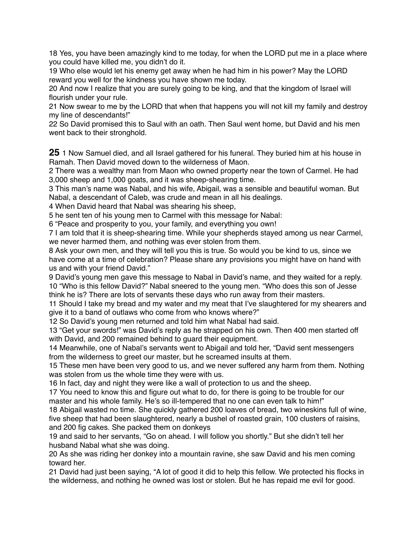18 Yes, you have been amazingly kind to me today, for when the LORD put me in a place where you could have killed me, you didn't do it.

19 Who else would let his enemy get away when he had him in his power? May the LORD reward you well for the kindness you have shown me today.

20 And now I realize that you are surely going to be king, and that the kingdom of Israel will flourish under your rule.

21 Now swear to me by the LORD that when that happens you will not kill my family and destroy my line of descendants!"

22 So David promised this to Saul with an oath. Then Saul went home, but David and his men went back to their stronghold.

**25** 1 Now Samuel died, and all Israel gathered for his funeral. They buried him at his house in Ramah. Then David moved down to the wilderness of Maon.

2 There was a wealthy man from Maon who owned property near the town of Carmel. He had 3,000 sheep and 1,000 goats, and it was sheep-shearing time.

3 This man's name was Nabal, and his wife, Abigail, was a sensible and beautiful woman. But Nabal, a descendant of Caleb, was crude and mean in all his dealings.

4 When David heard that Nabal was shearing his sheep,

5 he sent ten of his young men to Carmel with this message for Nabal:

6 "Peace and prosperity to you, your family, and everything you own!

7 I am told that it is sheep-shearing time. While your shepherds stayed among us near Carmel, we never harmed them, and nothing was ever stolen from them.

8 Ask your own men, and they will tell you this is true. So would you be kind to us, since we have come at a time of celebration? Please share any provisions you might have on hand with us and with your friend David."

9 David's young men gave this message to Nabal in David's name, and they waited for a reply. 10 "Who is this fellow David?" Nabal sneered to the young men. "Who does this son of Jesse think he is? There are lots of servants these days who run away from their masters.

11 Should I take my bread and my water and my meat that I've slaughtered for my shearers and give it to a band of outlaws who come from who knows where?"

12 So David's young men returned and told him what Nabal had said.

13 "Get your swords!" was David's reply as he strapped on his own. Then 400 men started off with David, and 200 remained behind to guard their equipment.

14 Meanwhile, one of Nabal's servants went to Abigail and told her, "David sent messengers from the wilderness to greet our master, but he screamed insults at them.

15 These men have been very good to us, and we never suffered any harm from them. Nothing was stolen from us the whole time they were with us.

16 In fact, day and night they were like a wall of protection to us and the sheep.

17 You need to know this and figure out what to do, for there is going to be trouble for our master and his whole family. He's so ill-tempered that no one can even talk to him!"

18 Abigail wasted no time. She quickly gathered 200 loaves of bread, two wineskins full of wine, five sheep that had been slaughtered, nearly a bushel of roasted grain, 100 clusters of raisins, and 200 fig cakes. She packed them on donkeys

19 and said to her servants, "Go on ahead. I will follow you shortly." But she didn't tell her husband Nabal what she was doing.

20 As she was riding her donkey into a mountain ravine, she saw David and his men coming toward her.

21 David had just been saying, "A lot of good it did to help this fellow. We protected his flocks in the wilderness, and nothing he owned was lost or stolen. But he has repaid me evil for good.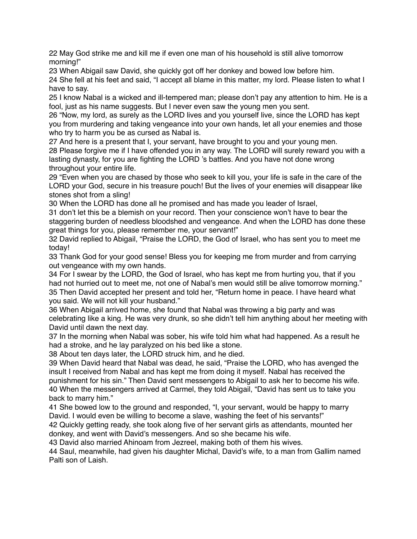22 May God strike me and kill me if even one man of his household is still alive tomorrow morning!"

23 When Abigail saw David, she quickly got off her donkey and bowed low before him. 24 She fell at his feet and said, "I accept all blame in this matter, my lord. Please listen to what I have to say.

25 I know Nabal is a wicked and ill-tempered man; please don't pay any attention to him. He is a fool, just as his name suggests. But I never even saw the young men you sent.

26 "Now, my lord, as surely as the LORD lives and you yourself live, since the LORD has kept you from murdering and taking vengeance into your own hands, let all your enemies and those who try to harm you be as cursed as Nabal is.

27 And here is a present that I, your servant, have brought to you and your young men. 28 Please forgive me if I have offended you in any way. The LORD will surely reward you with a lasting dynasty, for you are fighting the LORD 's battles. And you have not done wrong throughout your entire life.

29 "Even when you are chased by those who seek to kill you, your life is safe in the care of the LORD your God, secure in his treasure pouch! But the lives of your enemies will disappear like stones shot from a sling!

30 When the LORD has done all he promised and has made you leader of Israel,

31 don't let this be a blemish on your record. Then your conscience won't have to bear the staggering burden of needless bloodshed and vengeance. And when the LORD has done these great things for you, please remember me, your servant!"

32 David replied to Abigail, "Praise the LORD, the God of Israel, who has sent you to meet me today!

33 Thank God for your good sense! Bless you for keeping me from murder and from carrying out vengeance with my own hands.

34 For I swear by the LORD, the God of Israel, who has kept me from hurting you, that if you had not hurried out to meet me, not one of Nabal's men would still be alive tomorrow morning." 35 Then David accepted her present and told her, "Return home in peace. I have heard what you said. We will not kill your husband."

36 When Abigail arrived home, she found that Nabal was throwing a big party and was celebrating like a king. He was very drunk, so she didn't tell him anything about her meeting with David until dawn the next day.

37 In the morning when Nabal was sober, his wife told him what had happened. As a result he had a stroke, and he lay paralyzed on his bed like a stone.

38 About ten days later, the LORD struck him, and he died.

39 When David heard that Nabal was dead, he said, "Praise the LORD, who has avenged the insult I received from Nabal and has kept me from doing it myself. Nabal has received the punishment for his sin." Then David sent messengers to Abigail to ask her to become his wife. 40 When the messengers arrived at Carmel, they told Abigail, "David has sent us to take you back to marry him."

41 She bowed low to the ground and responded, "I, your servant, would be happy to marry David. I would even be willing to become a slave, washing the feet of his servants!" 42 Quickly getting ready, she took along five of her servant girls as attendants, mounted her

donkey, and went with David's messengers. And so she became his wife.

43 David also married Ahinoam from Jezreel, making both of them his wives.

44 Saul, meanwhile, had given his daughter Michal, David's wife, to a man from Gallim named Palti son of Laish.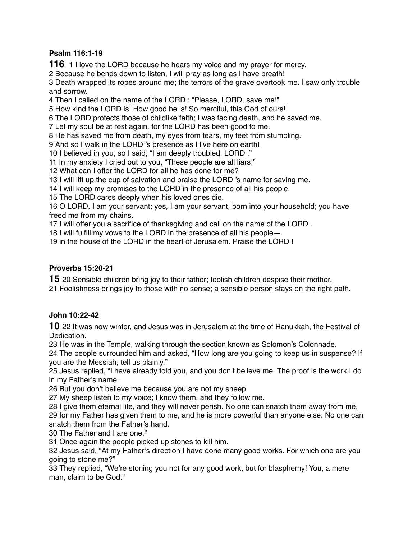# **Psalm 116:1-19**

1 I love the LORD because he hears my voice and my prayer for mercy.

Because he bends down to listen, I will pray as long as I have breath!

 Death wrapped its ropes around me; the terrors of the grave overtook me. I saw only trouble and sorrow.

Then I called on the name of the LORD : "Please, LORD, save me!"

How kind the LORD is! How good he is! So merciful, this God of ours!

The LORD protects those of childlike faith; I was facing death, and he saved me.

Let my soul be at rest again, for the LORD has been good to me.

He has saved me from death, my eyes from tears, my feet from stumbling.

And so I walk in the LORD 's presence as I live here on earth!

I believed in you, so I said, "I am deeply troubled, LORD ."

In my anxiety I cried out to you, "These people are all liars!"

What can I offer the LORD for all he has done for me?

I will lift up the cup of salvation and praise the LORD 's name for saving me.

I will keep my promises to the LORD in the presence of all his people.

The LORD cares deeply when his loved ones die.

 O LORD, I am your servant; yes, I am your servant, born into your household; you have freed me from my chains.

I will offer you a sacrifice of thanksgiving and call on the name of the LORD .

I will fulfill my vows to the LORD in the presence of all his people—

in the house of the LORD in the heart of Jerusalem. Praise the LORD !

# **Proverbs 15:20-21**

20 Sensible children bring joy to their father; foolish children despise their mother.

Foolishness brings joy to those with no sense; a sensible person stays on the right path.

# **John 10:22-42**

22 It was now winter, and Jesus was in Jerusalem at the time of Hanukkah, the Festival of Dedication.

He was in the Temple, walking through the section known as Solomon's Colonnade.

 The people surrounded him and asked, "How long are you going to keep us in suspense? If you are the Messiah, tell us plainly."

 Jesus replied, "I have already told you, and you don't believe me. The proof is the work I do in my Father's name.

But you don't believe me because you are not my sheep.

My sheep listen to my voice; I know them, and they follow me.

 I give them eternal life, and they will never perish. No one can snatch them away from me, for my Father has given them to me, and he is more powerful than anyone else. No one can snatch them from the Father's hand.

The Father and I are one."

Once again the people picked up stones to kill him.

 Jesus said, "At my Father's direction I have done many good works. For which one are you going to stone me?"

 They replied, "We're stoning you not for any good work, but for blasphemy! You, a mere man, claim to be God."